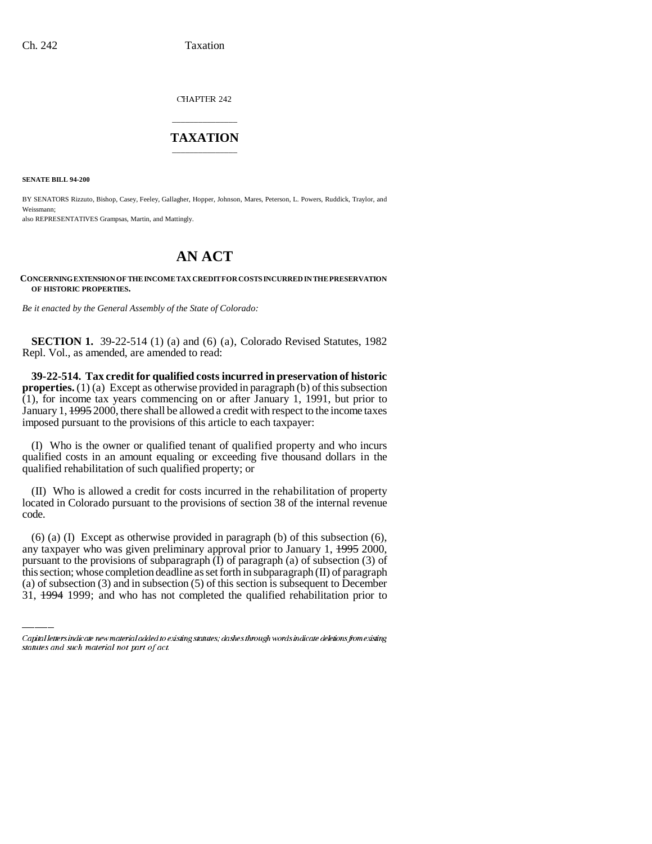CHAPTER 242

## \_\_\_\_\_\_\_\_\_\_\_\_\_\_\_ **TAXATION** \_\_\_\_\_\_\_\_\_\_\_\_\_\_\_

**SENATE BILL 94-200**

BY SENATORS Rizzuto, Bishop, Casey, Feeley, Gallagher, Hopper, Johnson, Mares, Peterson, L. Powers, Ruddick, Traylor, and Weissmann;

also REPRESENTATIVES Grampsas, Martin, and Mattingly.

## **AN ACT**

**CONCERNING EXTENSION OF THE INCOME TAX CREDIT FOR COSTS INCURRED IN THE PRESERVATION OF HISTORIC PROPERTIES.**

*Be it enacted by the General Assembly of the State of Colorado:*

**SECTION 1.** 39-22-514 (1) (a) and (6) (a), Colorado Revised Statutes, 1982 Repl. Vol., as amended, are amended to read:

**39-22-514. Tax credit for qualified costs incurred in preservation of historic properties.** (1) (a) Except as otherwise provided in paragraph (b) of this subsection (1), for income tax years commencing on or after January 1, 1991, but prior to January 1, 1995 2000, there shall be allowed a credit with respect to the income taxes imposed pursuant to the provisions of this article to each taxpayer:

(I) Who is the owner or qualified tenant of qualified property and who incurs qualified costs in an amount equaling or exceeding five thousand dollars in the qualified rehabilitation of such qualified property; or

(II) Who is allowed a credit for costs incurred in the rehabilitation of property located in Colorado pursuant to the provisions of section 38 of the internal revenue code.

any taxpayer who was given preliminary approval prior to January 1, 1995 2000, (6) (a) (I) Except as otherwise provided in paragraph (b) of this subsection (6), pursuant to the provisions of subparagraph (I) of paragraph (a) of subsection (3) of this section; whose completion deadline as set forth in subparagraph (II) of paragraph (a) of subsection (3) and in subsection (5) of this section is subsequent to December 31, 1994 1999; and who has not completed the qualified rehabilitation prior to

Capital letters indicate new material added to existing statutes; dashes through words indicate deletions from existing statutes and such material not part of act.